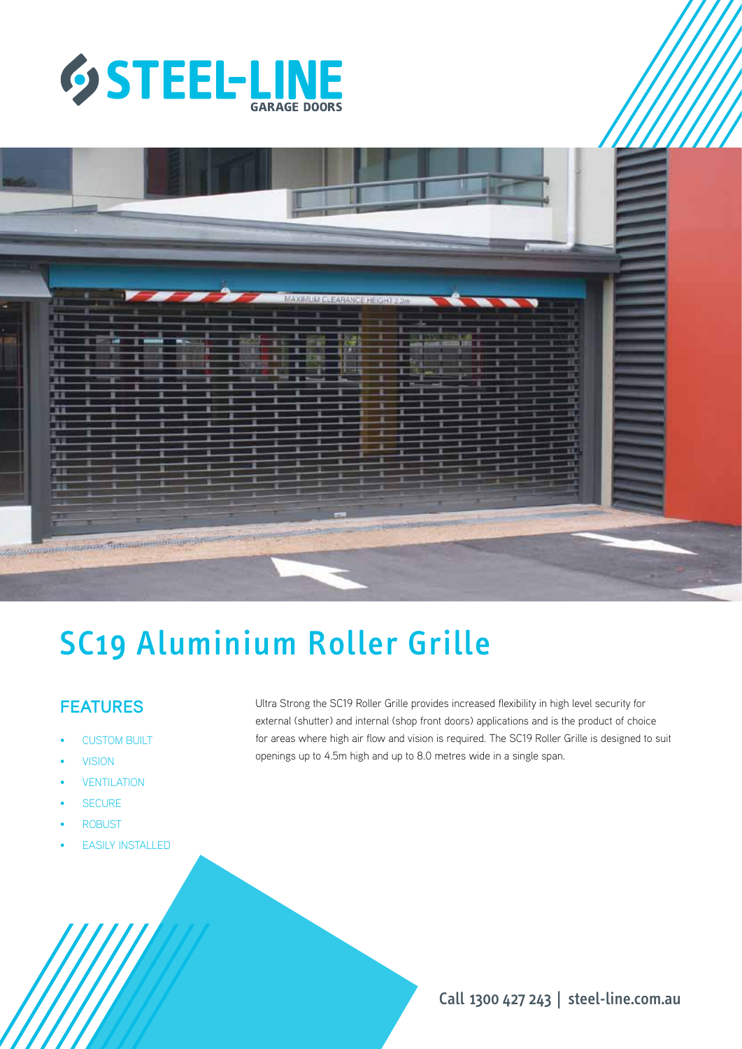



# SC19 Aluminium Roller Grille

# **FEATURES**

- **CUSTOM BUILT**
- **VISION**
- **VENTILATION**
- **SECURE**
- **ROBUST**
- **EASILY INSTALLED**

Ultra Strong the SC19 Roller Grille provides increased flexibility in high level security for external (shutter) and internal (shop front doors) applications and is the product of choice for areas where high air flow and vision is required. The SC19 Roller Grille is designed to suit openings up to 4.5m high and up to 8.0 metres wide in a single span.

Call 1300 427 243 | steel-line.com.au